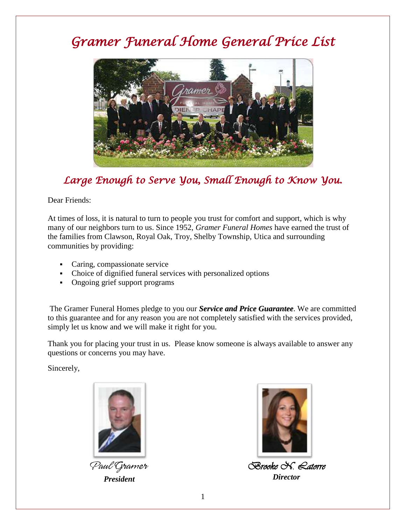# *Gramer Funeral Home General Price List*



## *Large Enough to Serve You, Small Enough to Know You.*

Dear Friends:

At times of loss, it is natural to turn to people you trust for comfort and support, which is why many of our neighbors turn to us. Since 1952, *Gramer Funeral Homes* have earned the trust of the families from Clawson, Royal Oak, Troy, Shelby Township, Utica and surrounding communities by providing:

- Caring, compassionate service
- Choice of dignified funeral services with personalized options
- Ongoing grief support programs

The Gramer Funeral Homes pledge to you our *Service and Price Guarantee*. We are committed to this guarantee and for any reason you are not completely satisfied with the services provided, simply let us know and we will make it right for you.

Thank you for placing your trust in us. Please know someone is always available to answer any questions or concerns you may have.

Sincerely,



Paul Gramer *President* 



*Brooke N. Latorre Director*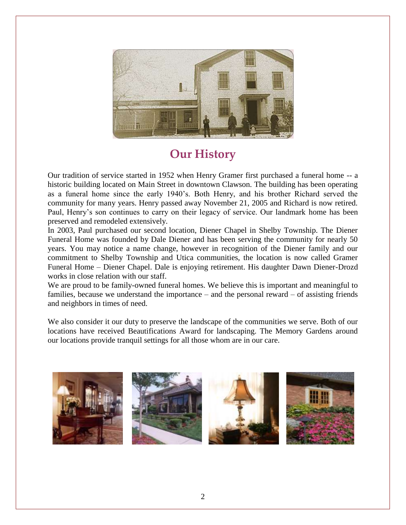

# **Our History**

Our tradition of service started in 1952 when Henry Gramer first purchased a funeral home -- a historic building located on Main Street in downtown Clawson. The building has been operating as a funeral home since the early 1940's. Both Henry, and his brother Richard served the community for many years. Henry passed away November 21, 2005 and Richard is now retired. Paul, Henry's son continues to carry on their legacy of service. Our landmark home has been preserved and remodeled extensively.

In 2003, Paul purchased our second location, Diener Chapel in Shelby Township. The Diener Funeral Home was founded by Dale Diener and has been serving the community for nearly 50 years. You may notice a name change, however in recognition of the Diener family and our commitment to Shelby Township and Utica communities, the location is now called Gramer Funeral Home – Diener Chapel. Dale is enjoying retirement. His daughter Dawn Diener-Drozd works in close relation with our staff.

We are proud to be family-owned funeral homes. We believe this is important and meaningful to families, because we understand the importance – and the personal reward – of assisting friends and neighbors in times of need.

We also consider it our duty to preserve the landscape of the communities we serve. Both of our locations have received Beautifications Award for landscaping. The Memory Gardens around our locations provide tranquil settings for all those whom are in our care.

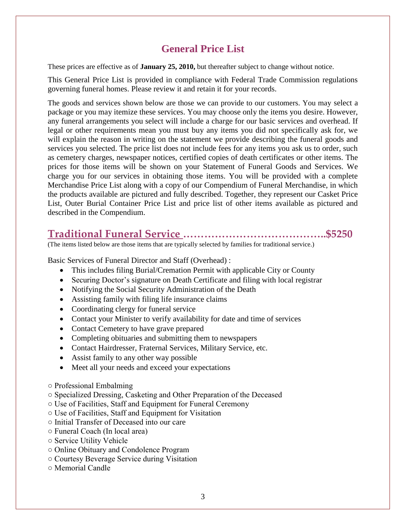### **General Price List**

These prices are effective as of **January 25, 2010,** but thereafter subject to change without notice.

This General Price List is provided in compliance with Federal Trade Commission regulations governing funeral homes. Please review it and retain it for your records.

The goods and services shown below are those we can provide to our customers. You may select a package or you may itemize these services. You may choose only the items you desire. However, any funeral arrangements you select will include a charge for our basic services and overhead. If legal or other requirements mean you must buy any items you did not specifically ask for, we will explain the reason in writing on the statement we provide describing the funeral goods and services you selected. The price list does not include fees for any items you ask us to order, such as cemetery charges, newspaper notices, certified copies of death certificates or other items. The prices for those items will be shown on your Statement of Funeral Goods and Services. We charge you for our services in obtaining those items. You will be provided with a complete Merchandise Price List along with a copy of our Compendium of Funeral Merchandise, in which the products available are pictured and fully described. Together, they represent our Casket Price List, Outer Burial Container Price List and price list of other items available as pictured and described in the Compendium.

### **Traditional Funeral Service …………………………………..\$5250**

(The items listed below are those items that are typically selected by families for traditional service.)

Basic Services of Funeral Director and Staff (Overhead) :

- This includes filing Burial/Cremation Permit with applicable City or County
- Securing Doctor's signature on Death Certificate and filing with local registrar
- Notifying the Social Security Administration of the Death
- Assisting family with filing life insurance claims
- Coordinating clergy for funeral service
- Contact your Minister to verify availability for date and time of services
- Contact Cemetery to have grave prepared
- Completing obituaries and submitting them to newspapers
- Contact Hairdresser, Fraternal Services, Military Service, etc.
- Assist family to any other way possible
- Meet all your needs and exceed your expectations
- Professional Embalming
- Specialized Dressing, Casketing and Other Preparation of the Deceased
- Use of Facilities, Staff and Equipment for Funeral Ceremony
- Use of Facilities, Staff and Equipment for Visitation
- Initial Transfer of Deceased into our care
- Funeral Coach (In local area)
- Service Utility Vehicle
- Online Obituary and Condolence Program
- Courtesy Beverage Service during Visitation
- Memorial Candle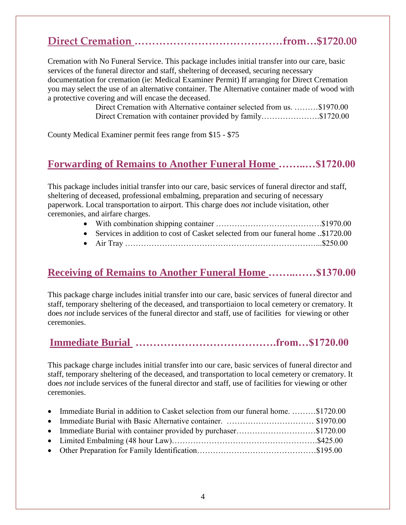# **Direct Cremation ……………………………………from…\$1720.00**

Cremation with No Funeral Service. This package includes initial transfer into our care, basic services of the funeral director and staff, sheltering of deceased, securing necessary documentation for cremation (ie: Medical Examiner Permit) If arranging for Direct Cremation you may select the use of an alternative container. The Alternative container made of wood with a protective covering and will encase the deceased.

> Direct Cremation with Alternative container selected from us. ………\$1970.00 Direct Cremation with container provided by family………………….\$1720.00

County Medical Examiner permit fees range from \$15 - \$75

#### **Forwarding of Remains to Another Funeral Home ……..…\$1720.00**

This package includes initial transfer into our care, basic services of funeral director and staff, sheltering of deceased, professional embalming, preparation and securing of necessary paperwork. Local transportation to airport. This charge does *not* include visitation, other ceremonies, and airfare charges.

- With combination shipping container ………………………………….\$1970.00
- Services in addition to cost of Casket selected from our funeral home ..\$1720.00
- Air Tray ………………………………………………………………...\$250.00

#### **Receiving of Remains to Another Funeral Home ……..……\$1370.00**

This package charge includes initial transfer into our care, basic services of funeral director and staff, temporary sheltering of the deceased, and transportiaion to local cemetery or crematory. It does *not* include services of the funeral director and staff, use of facilities for viewing or other ceremonies.

## **Immediate Burial ………………………………….from…\$1720.00**

This package charge includes initial transfer into our care, basic services of funeral director and staff, temporary sheltering of the deceased, and transportation to local cemetery or crematory. It does *not* include services of the funeral director and staff, use of facilities for viewing or other ceremonies.

| • Immediate Burial in addition to Casket selection from our funeral home\$1720.00 |  |
|-----------------------------------------------------------------------------------|--|
|                                                                                   |  |
|                                                                                   |  |
|                                                                                   |  |
|                                                                                   |  |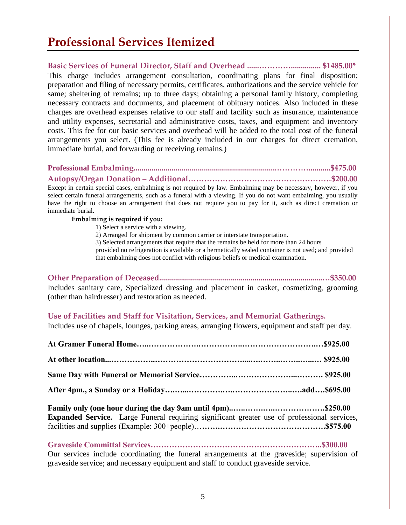## **Professional Services Itemized**

**Basic Services of Funeral Director, Staff and Overhead ......…………............... \$1485.00\*** This charge includes arrangement consultation, coordinating plans for final disposition; preparation and filing of necessary permits, certificates, authorizations and the service vehicle for same; sheltering of remains; up to three days; obtaining a personal family history, completing necessary contracts and documents, and placement of obituary notices. Also included in these charges are overhead expenses relative to our staff and facility such as insurance, maintenance and utility expenses, secretarial and administrative costs, taxes, and equipment and inventory costs. This fee for our basic services and overhead will be added to the total cost of the funeral arrangements you select. (This fee is already included in our charges for direct cremation, immediate burial, and forwarding or receiving remains.)

#### **Professional Embalming........................................................................…………...........\$475.00**

**Autopsy/Organ Donation – Additional………………………………………………\$200.00**

Except in certain special cases, embalming is not required by law. Embalming may be necessary, however, if you select certain funeral arrangements, such as a funeral with a viewing. If you do not want embalming, you usually have the right to choose an arrangement that does not require you to pay for it, such as direct cremation or immediate burial.

#### **Embalming is required if you:**

- 1) Select a service with a viewing.
- 2) Arranged for shipment by common carrier or interstate transportation.
- 3) Selected arrangements that require that the remains be held for more than 24 hours
- provided no refrigeration is available or a hermetically sealed container is not used; and provided that embalming does not conflict with religious beliefs or medical examination.

| Includes sanitary care, Specialized dressing and placement in casket, cosmetizing, grooming |  |
|---------------------------------------------------------------------------------------------|--|
| (other than hairdresser) and restoration as needed.                                         |  |

#### **Use of Facilities and Staff for Visitation, Services, and Memorial Gatherings.**

Includes use of chapels, lounges, parking areas, arranging flowers, equipment and staff per day.

| <b>Expanded Service.</b> Large Funeral requiring significant greater use of professional services, |  |
|----------------------------------------------------------------------------------------------------|--|

**Graveside Committal Services………………………………………………………..\$300.00** Our services include coordinating the funeral arrangements at the graveside; supervision of graveside service; and necessary equipment and staff to conduct graveside service.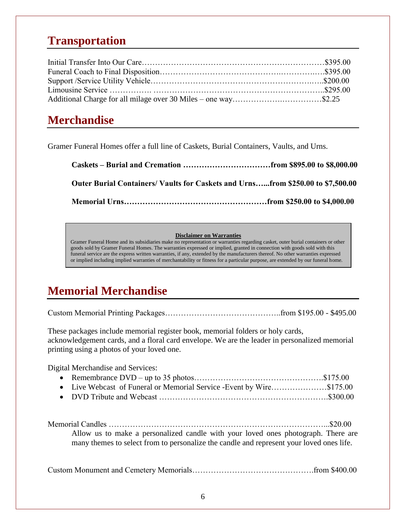## **Transportation**

# **Merchandise**

Gramer Funeral Homes offer a full line of Caskets, Burial Containers, Vaults, and Urns.

| Outer Burial Containers/Vaults for Caskets and Urnsfrom \$250.00 to \$7,500.00 |  |
|--------------------------------------------------------------------------------|--|
|                                                                                |  |

#### **Disclaimer on Warranties**

Gramer Funeral Home and its subsidiaries make no representation or warranties regarding casket, outer burial containers or other goods sold by Gramer Funeral Homes. The warranties expressed or implied, granted in connection with goods sold with this funeral service are the express written warranties, if any, extended by the manufacturers thereof. No other warranties expressed or implied including implied warranties of merchantability or fitness for a particular purpose, are extended by our funeral home.

# **Memorial Merchandise**

Custom Memorial Printing Packages……………………………………..from \$195.00 - \$495.00

These packages include memorial register book, memorial folders or holy cards, acknowledgement cards, and a floral card envelope. We are the leader in personalized memorial printing using a photos of your loved one.

Digital Merchandise and Services:

| • Live Webcast of Funeral or Memorial Service - Event by Wire\$175.00 |  |
|-----------------------------------------------------------------------|--|
|                                                                       |  |

| Allow us to make a personalized candle with your loved ones photograph. There are        |  |
|------------------------------------------------------------------------------------------|--|
| many themes to select from to personalize the candle and represent your loved ones life. |  |

Custom Monument and Cemetery Memorials……………………………………….from \$400.00